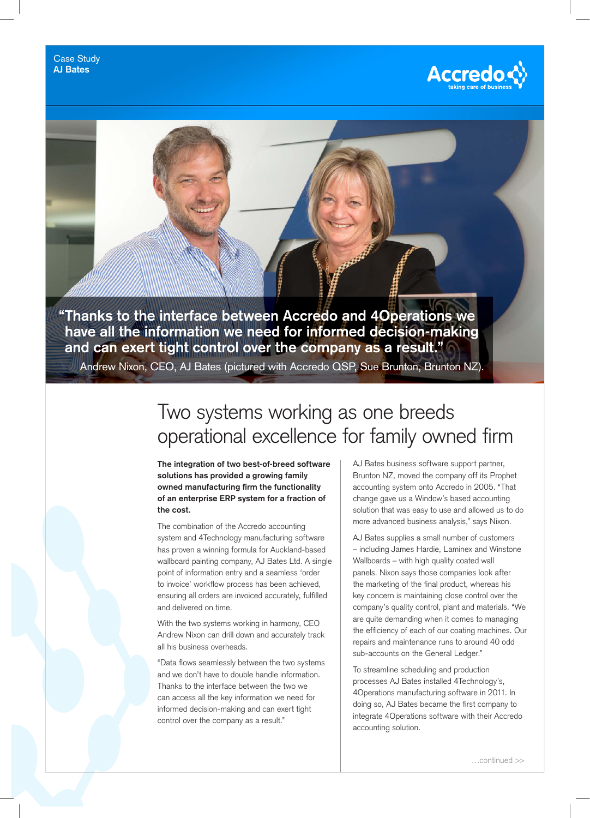

**"Thanks to the interface between Accredo and 4Operations we have all the information we need for informed decision-making and can exert tight control over the company as a result."**

Andrew Nixon, CEO, AJ Bates (pictured with Accredo QSP, Sue Brunton, Brunton NZ).

## Two systems working as one breeds operational excellence for family owned firm

**The integration of two best-of-breed software solutions has provided a growing family owned manufacturing firm the functionality of an enterprise ERP system for a fraction of the cost.** 

The combination of the Accredo accounting system and 4Technology manufacturing software has proven a winning formula for Auckland-based wallboard painting company, AJ Bates Ltd. A single point of information entry and a seamless 'order to invoice' workflow process has been achieved, ensuring all orders are invoiced accurately, fulfilled and delivered on time.

With the two systems working in harmony, CEO Andrew Nixon can drill down and accurately track all his business overheads.

"Data flows seamlessly between the two systems and we don't have to double handle information. Thanks to the interface between the two we can access all the key information we need for informed decision-making and can exert tight control over the company as a result."

AJ Bates business software support partner, Brunton NZ, moved the company off its Prophet accounting system onto Accredo in 2005. "That change gave us a Window's based accounting solution that was easy to use and allowed us to do more advanced business analysis," says Nixon.

AJ Bates supplies a small number of customers – including James Hardie, Laminex and Winstone Wallboards – with high quality coated wall panels. Nixon says those companies look after the marketing of the final product, whereas his key concern is maintaining close control over the company's quality control, plant and materials. "We are quite demanding when it comes to managing the efficiency of each of our coating machines. Our repairs and maintenance runs to around 40 odd sub-accounts on the General Ledger."

To streamline scheduling and production processes AJ Bates installed 4Technology's, 4Operations manufacturing software in 2011. In doing so, AJ Bates became the first company to integrate 4Operations software with their Accredo accounting solution.